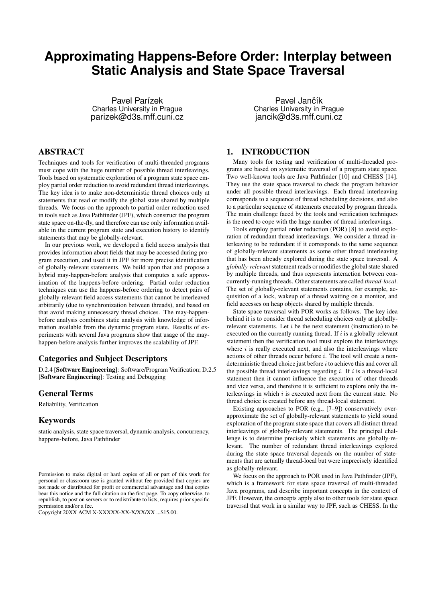# **Approximating Happens-Before Order: Interplay between Static Analysis and State Space Traversal**

Pavel Parízek Charles University in Prague parizek@d3s.mff.cuni.cz

# ABSTRACT

Techniques and tools for verification of multi-threaded programs must cope with the huge number of possible thread interleavings. Tools based on systematic exploration of a program state space employ partial order reduction to avoid redundant thread interleavings. The key idea is to make non-deterministic thread choices only at statements that read or modify the global state shared by multiple threads. We focus on the approach to partial order reduction used in tools such as Java Pathfinder (JPF), which construct the program state space on-the-fly, and therefore can use only information available in the current program state and execution history to identify statements that may be globally-relevant.

In our previous work, we developed a field access analysis that provides information about fields that may be accessed during program execution, and used it in JPF for more precise identification of globally-relevant statements. We build upon that and propose a hybrid may-happen-before analysis that computes a safe approximation of the happens-before ordering. Partial order reduction techniques can use the happens-before ordering to detect pairs of globally-relevant field access statements that cannot be interleaved arbitrarily (due to synchronization between threads), and based on that avoid making unnecessary thread choices. The may-happenbefore analysis combines static analysis with knowledge of information available from the dynamic program state. Results of experiments with several Java programs show that usage of the mayhappen-before analysis further improves the scalability of JPF.

## Categories and Subject Descriptors

D.2.4 [Software Engineering]: Software/Program Verification; D.2.5 [Software Engineering]: Testing and Debugging

# General Terms

Reliability, Verification

## Keywords

static analysis, state space traversal, dynamic analysis, concurrency, happens-before, Java Pathfinder

Copyright 20XX ACM X-XXXXX-XX-X/XX/XX ...\$15.00.

Pavel Jančík Charles University in Prague jancik@d3s.mff.cuni.cz

## 1. INTRODUCTION

Many tools for testing and verification of multi-threaded programs are based on systematic traversal of a program state space. Two well-known tools are Java Pathfinder [10] and CHESS [14]. They use the state space traversal to check the program behavior under all possible thread interleavings. Each thread interleaving corresponds to a sequence of thread scheduling decisions, and also to a particular sequence of statements executed by program threads. The main challenge faced by the tools and verification techniques is the need to cope with the huge number of thread interleavings.

Tools employ partial order reduction (POR) [8] to avoid exploration of redundant thread interleavings. We consider a thread interleaving to be redundant if it corresponds to the same sequence of globally-relevant statements as some other thread interleaving that has been already explored during the state space traversal. A *globally-relevant* statement reads or modifies the global state shared by multiple threads, and thus represents interaction between concurrently-running threads. Other statements are called *thread-local*. The set of globally-relevant statements contains, for example, acquisition of a lock, wakeup of a thread waiting on a monitor, and field accesses on heap objects shared by multiple threads.

State space traversal with POR works as follows. The key idea behind it is to consider thread scheduling choices only at globallyrelevant statements. Let  $i$  be the next statement (instruction) to be executed on the currently running thread. If  $i$  is a globally-relevant statement then the verification tool must explore the interleavings where  $i$  is really executed next, and also the interleavings where actions of other threads occur before i. The tool will create a nondeterministic thread choice just before  $i$  to achieve this and cover all the possible thread interleavings regarding  $i$ . If  $i$  is a thread-local statement then it cannot influence the execution of other threads and vice versa, and therefore it is sufficient to explore only the interleavings in which  $i$  is executed next from the current state. No thread choice is created before any thread-local statement.

Existing approaches to POR (e.g., [7–9]) conservatively overapproximate the set of globally-relevant statements to yield sound exploration of the program state space that covers all distinct thread interleavings of globally-relevant statements. The principal challenge is to determine precisely which statements are globally-relevant. The number of redundant thread interleavings explored during the state space traversal depends on the number of statements that are actually thread-local but were imprecisely identified as globally-relevant.

We focus on the approach to POR used in Java Pathfinder (JPF), which is a framework for state space traversal of multi-threaded Java programs, and describe important concepts in the context of JPF. However, the concepts apply also to other tools for state space traversal that work in a similar way to JPF, such as CHESS. In the

Permission to make digital or hard copies of all or part of this work for personal or classroom use is granted without fee provided that copies are not made or distributed for profit or commercial advantage and that copies bear this notice and the full citation on the first page. To copy otherwise, to republish, to post on servers or to redistribute to lists, requires prior specific permission and/or a fee.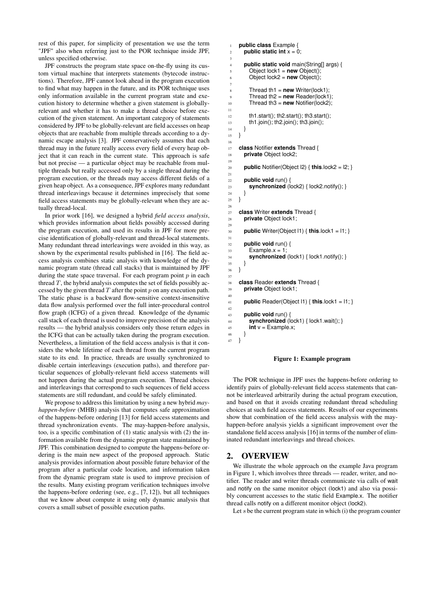rest of this paper, for simplicity of presentation we use the term "JPF" also when referring just to the POR technique inside JPF, unless specified otherwise.

JPF constructs the program state space on-the-fly using its custom virtual machine that interprets statements (bytecode instructions). Therefore, JPF cannot look ahead in the program execution to find what may happen in the future, and its POR technique uses only information available in the current program state and execution history to determine whether a given statement is globallyrelevant and whether it has to make a thread choice before execution of the given statement. An important category of statements considered by JPF to be globally-relevant are field accesses on heap objects that are reachable from multiple threads according to a dynamic escape analysis [3]. JPF conservatively assumes that each thread may in the future really access every field of every heap object that it can reach in the current state. This approach is safe but not precise — a particular object may be reachable from multiple threads but really accessed only by a single thread during the program execution, or the threads may access different fields of a given heap object. As a consequence, JPF explores many redundant thread interleavings because it determines imprecisely that some field access statements may be globally-relevant when they are actually thread-local.

In prior work [16], we designed a hybrid *field access analysis*, which provides information about fields possibly accessed during the program execution, and used its results in JPF for more precise identification of globally-relevant and thread-local statements. Many redundant thread interleavings were avoided in this way, as shown by the experimental results published in [16]. The field access analysis combines static analysis with knowledge of the dynamic program state (thread call stacks) that is maintained by JPF during the state space traversal. For each program point  $p$  in each thread  $T$ , the hybrid analysis computes the set of fields possibly accessed by the given thread  $T$  after the point  $p$  on any execution path. The static phase is a backward flow-sensitive context-insensitive data flow analysis performed over the full inter-procedural control flow graph (ICFG) of a given thread. Knowledge of the dynamic call stack of each thread is used to improve precision of the analysis results — the hybrid analysis considers only those return edges in the ICFG that can be actually taken during the program execution. Nevertheless, a limitation of the field access analysis is that it considers the whole lifetime of each thread from the current program state to its end. In practice, threads are usually synchronized to disable certain interleavings (execution paths), and therefore particular sequences of globally-relevant field access statements will not happen during the actual program execution. Thread choices and interleavings that correspond to such sequences of field access statements are still redundant, and could be safely eliminated.

We propose to address this limitation by using a new hybrid *mayhappen-before* (MHB) analysis that computes safe approximation of the happens-before ordering [13] for field access statements and thread synchronization events. The may-happen-before analysis, too, is a specific combination of (1) static analysis with (2) the information available from the dynamic program state maintained by JPF. This combination designed to compute the happens-before ordering is the main new aspect of the proposed approach. Static analysis provides information about possible future behavior of the program after a particular code location, and information taken from the dynamic program state is used to improve precision of the results. Many existing program verification techniques involve the happens-before ordering (see, e.g., [7, 12]), but all techniques that we know about compute it using only dynamic analysis that covers a small subset of possible execution paths.

```
1 public class Example {
public static int x = 0;
 3
4 public static void main(String[] args) {
5 Object lock1 = new Object();
6 Object lock2 = new Object();
 7
8 Thread th1 = new Writer(lock1);
9 Thread th2 = new Reader(lock1);
10 Thread th3 = new Notifier(lock2);
11
12 th1.start(); th2.start(); th3.start();
13 th1.join(); th2.join(); th3.join();
\begin{matrix} 14 & 3 \\ 15 & 3 \end{matrix}15 }
16
17 class Notifier extends Thread {
      private Object lock2;
19
20 public Notifier(Object |2\rangle { this.lock2 = |2\rangle}
2122 public void run() {
<sup>23</sup> synchronized (lock2) { lock2.notify(); }
24 }
25 }
26
27 class Writer extends Thread {
28 private Object lock1;
2930 public Writer(Object l1) { this.lock1 = l1; }
31
32 public void run() {
33 Example.x = 134 synchronized (lock1) { lock1.notify(); }
35 }
36 }
37
38 class Reader extends Thread {
39 private Object lock1;
40
41 public Reader(Object l1) { this.lock1 = l1; }
42
43 public void run() {
synchronized (lock1) { lock1.wait(); }
45 int v = Example.x;
46 }
47 }
```


The POR technique in JPF uses the happens-before ordering to identify pairs of globally-relevant field access statements that cannot be interleaved arbitrarily during the actual program execution, and based on that it avoids creating redundant thread scheduling choices at such field access statements. Results of our experiments show that combination of the field access analysis with the mayhappen-before analysis yields a significant improvement over the standalone field access analysis [16] in terms of the number of eliminated redundant interleavings and thread choices.

#### 2. OVERVIEW

We illustrate the whole approach on the example Java program in Figure 1, which involves three threads — reader, writer, and notifier. The reader and writer threads communicate via calls of wait and notify on the same monitor object (lock1) and also via possibly concurrent accesses to the static field Example.x. The notifier thread calls notify on a different monitor object (lock2).

Let  $s$  be the current program state in which  $(i)$  the program counter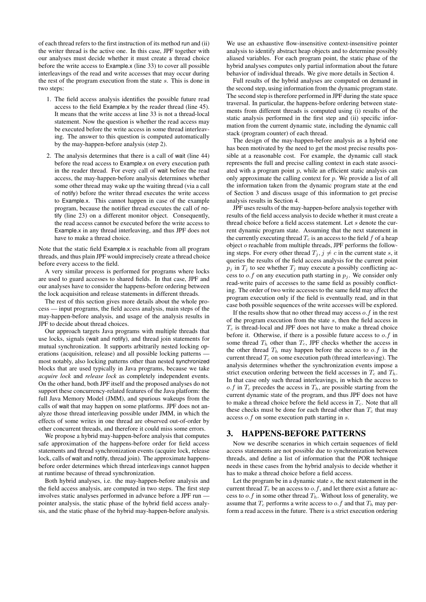of each thread refers to the first instruction of its method run and (ii) the writer thread is the active one. In this case, JPF together with our analyses must decide whether it must create a thread choice before the write access to Example.x (line 33) to cover all possible interleavings of the read and write accesses that may occur during the rest of the program execution from the state s. This is done in two steps:

- 1. The field access analysis identifies the possible future read access to the field Example.x by the reader thread (line 45). It means that the write access at line 33 is not a thread-local statement. Now the question is whether the read access may be executed before the write access in some thread interleaving. The answer to this question is computed automatically by the may-happen-before analysis (step 2).
- 2. The analysis determines that there is a call of wait (line 44) before the read access to Example.x on every execution path in the reader thread. For every call of wait before the read access, the may-happen-before analysis determines whether some other thread may wake up the waiting thread (via a call of notify) before the writer thread executes the write access to Example.x. This cannot happen in case of the example program, because the notifier thread executes the call of notify (line 23) on a different monitor object. Consequently, the read access cannot be executed before the write access to Example.x in any thread interleaving, and thus JPF does not have to make a thread choice.

Note that the static field Example.x is reachable from all program threads, and thus plain JPF would imprecisely create a thread choice before every access to the field.

A very similar process is performed for programs where locks are used to guard accesses to shared fields. In that case, JPF and our analyses have to consider the happens-before ordering between the lock acquisition and release statements in different threads.

The rest of this section gives more details about the whole process — input programs, the field access analysis, main steps of the may-happen-before analysis, and usage of the analysis results in JPF to decide about thread choices.

Our approach targets Java programs with multiple threads that use locks, signals (wait and notify), and thread join statements for mutual synchronization. It supports arbitrarily nested locking operations (acquisition, release) and all possible locking patterns most notably, also locking patterns other than nested synchronized blocks that are used typically in Java programs, because we take *acquire lock* and *release lock* as completely independent events. On the other hand, both JPF itself and the proposed analyses do not support these concurrency-related features of the Java platform: the full Java Memory Model (JMM), and spurious wakeups from the calls of wait that may happen on some platforms. JPF does not analyze those thread interleaving possible under JMM, in which the effects of some writes in one thread are observed out-of-order by other concurrent threads, and therefore it could miss some errors.

We propose a hybrid may-happen-before analysis that computes safe approximation of the happens-before order for field access statements and thread synchronization events (acquire lock, release lock, calls of wait and notify, thread join). The approximate happensbefore order determines which thread interleavings cannot happen at runtime because of thread synchronization.

Both hybrid analyses, i.e. the may-happen-before analysis and the field access analysis, are computed in two steps. The first step involves static analyses performed in advance before a JPF run pointer analysis, the static phase of the hybrid field access analysis, and the static phase of the hybrid may-happen-before analysis.

We use an exhaustive flow-insensitive context-insensitive pointer analysis to identify abstract heap objects and to determine possibly aliased variables. For each program point, the static phase of the hybrid analyses computes only partial information about the future behavior of individual threads. We give more details in Section 4.

Full results of the hybrid analyses are computed on demand in the second step, using information from the dynamic program state. The second step is therefore performed in JPF during the state space traversal. In particular, the happens-before ordering between statements from different threads is computed using (i) results of the static analysis performed in the first step and (ii) specific information from the current dynamic state, including the dynamic call stack (program counter) of each thread.

The design of the may-happen-before analysis as a hybrid one has been motivated by the need to get the most precise results possible at a reasonable cost. For example, the dynamic call stack represents the full and precise calling context in each state associated with a program point p, while an efficient static analysis can only approximate the calling context for  $p$ . We provide a list of all the information taken from the dynamic program state at the end of Section 3 and discuss usage of this information to get precise analysis results in Section 4.

JPF uses results of the may-happen-before analysis together with results of the field access analysis to decide whether it must create a thread choice before a field access statement. Let s denote the current dynamic program state. Assuming that the next statement in the currently executing thread  $T_c$  is an access to the field  $f$  of a heap object o reachable from multiple threads, JPF performs the following steps. For every other thread  $T_j, j \neq c$  in the current state s, it queries the results of the field access analysis for the current point  $p_i$  in  $T_i$  to see whether  $T_i$  may execute a possibly conflicting access to  $o.f$  on any execution path starting in  $p_j$ . We consider only read-write pairs of accesses to the same field as possibly conflicting. The order of two write accesses to the same field may affect the program execution only if the field is eventually read, and in that case both possible sequences of the write accesses will be explored.

If the results show that no other thread may access  $o.f$  in the rest of the program execution from the state s, then the field access in  $T_c$  is thread-local and JPF does not have to make a thread choice before it. Otherwise, if there is a possible future access to  $o.f$  in some thread  $T_h$  other than  $T_c$ , JPF checks whether the access in the other thread  $T_h$  may happen before the access to  $o.f$  in the current thread  $T_c$  on some execution path (thread interleaving). The analysis determines whether the synchronization events impose a strict execution ordering between the field accesses in  $T_c$  and  $T_h$ . In that case only such thread interleavings, in which the access to o.f in  $T_c$  precedes the access in  $T_h$ , are possible starting from the current dynamic state of the program, and thus JPF does not have to make a thread choice before the field access in  $T_c$ . Note that all these checks must be done for each thread other than  $T_c$  that may access o.f on some execution path starting in s.

## 3. HAPPENS-BEFORE PATTERNS

Now we describe scenarios in which certain sequences of field access statements are not possible due to synchronization between threads, and define a list of information that the POR technique needs in these cases from the hybrid analysis to decide whether it has to make a thread choice before a field access.

Let the program be in a dynamic state  $s$ , the next statement in the current thread  $T_c$  be an access to  $o.f$ , and let there exist a future access to  $o.f$  in some other thread  $T<sub>h</sub>$ . Without loss of generality, we assume that  $T_c$  performs a write access to  $o.f$  and that  $T_h$  may perform a read access in the future. There is a strict execution ordering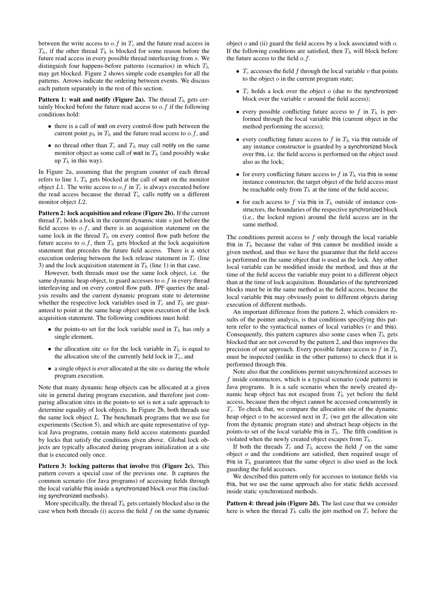between the write access to  $o.f$  in  $T_c$  and the future read access in  $T_h$ , if the other thread  $T_h$  is blocked for some reason before the future read access in every possible thread interleaving from s. We distinguish four happens-before patterns (scenarios) in which  $T_h$ may get blocked. Figure 2 shows simple code examples for all the patterns. Arrows indicate the ordering between events. We discuss each pattern separately in the rest of this section.

**Pattern 1: wait and notify (Figure 2a).** The thread  $T_h$  gets certainly blocked before the future read access to  $o.f$  if the following conditions hold:

- there is a call of wait on every control-flow path between the current point  $p_h$  in  $T_h$  and the future read access to o.f, and
- no thread other than  $T_c$  and  $T_h$  may call notify on the same monitor object as some call of wait in  $T<sub>h</sub>$  (and possibly wake up  $T_h$  in this way).

In Figure 2a, assuming that the program counter of each thread refers to line 1,  $T<sub>h</sub>$  gets blocked at the call of wait on the monitor object L1. The write access to  $o.f$  in  $T_c$  is always executed before the read access because the thread  $T_n$  calls notify on a different monitor object L2.

Pattern 2: lock acquisition and release (Figure 2b). If the current thread  $T_c$  holds a lock in the current dynamic state s just before the field access to  $o.f$ , and there is an acquisition statement on the same lock in the thread  $T<sub>h</sub>$  on every control flow path before the future access to  $o.f$ , then  $T_h$  gets blocked at the lock acquisition statement that precedes the future field access. There is a strict execution ordering between the lock release statement in  $T_c$  (line 3) and the lock acquisition statement in  $T<sub>h</sub>$  (line 1) in that case.

However, both threads must use the same lock object, i.e. the same dynamic heap object, to guard accesses to  $o.f$  in every thread interleaving and on every control flow path. JPF queries the analysis results and the current dynamic program state to determine whether the respective lock variables used in  $T_c$  and  $T_h$  are guaranteed to point at the same heap object upon execution of the lock acquisition statement. The following conditions must hold:

- the points-to set for the lock variable used in  $T_h$  has only a single element,
- the allocation site *as* for the lock variable in  $T<sub>h</sub>$  is equal to the allocation site of the currently held lock in  $T_c$ , and
- a single object is ever allocated at the site  $as$  during the whole program execution.

Note that many dynamic heap objects can be allocated at a given site in general during program execution, and therefore just comparing allocation sites in the points-to set is not a safe approach to determine equality of lock objects. In Figure 2b, both threads use the same lock object  $L$ . The benchmark programs that we use for experiments (Section 5), and which are quite representative of typical Java programs, contain many field access statements guarded by locks that satisfy the conditions given above. Global lock objects are typically allocated during program initialization at a site that is executed only once.

Pattern 3: locking patterns that involve this (Figure 2c). This pattern covers a special case of the previous one. It captures the common scenario (for Java programs) of accessing fields through the local variable this inside a synchronized block over this (including synchronized methods).

More specifically, the thread  $T_h$  gets certainly blocked also in the case when both threads (i) access the field  $f$  on the same dynamic

object  $o$  and (ii) guard the field access by a lock associated with  $o$ . If the following conditions are satisfied, then  $T_h$  will block before the future access to the field  $o.f$ .

- $T_c$  accesses the field f through the local variable v that points to the object  $o$  in the current program state;
- $T_c$  holds a lock over the object  $o$  (due to the synchronized block over the variable  $v$  around the field access);
- every possible conflicting future access to  $f$  in  $T_h$  is performed through the local variable this (current object in the method performing the access);
- every conflicting future access to  $f$  in  $T_h$  via this outside of any instance constructor is guarded by a synchronized block over this, i.e. the field access is performed on the object used also as the lock;
- for every conflicting future access to f in  $T_h$  via this in some instance constructor, the target object of the field access must be reachable only from  $T_h$  at the time of the field access;
- for each access to f via this in  $T<sub>h</sub>$  outside of instance constructors, the boundaries of the respective synchronized block (i.e., the locked region) around the field access are in the same method.

The conditions permit access to  $f$  only through the local variable this in  $T<sub>h</sub>$  because the value of this cannot be modified inside a given method, and thus we have the guarantee that the field access is performed on the same object that is used as the lock. Any other local variable can be modified inside the method, and thus at the time of the field access the variable may point to a different object than at the time of lock acquisition. Boundaries of the synchronized blocks must be in the same method as the field access, because the local variable this may obviously point to different objects during execution of different methods.

An important difference from the pattern 2, which considers results of the pointer analysis, is that conditions specifying this pattern refer to the syntactical names of local variables  $(v$  and this). Consequently, this pattern captures also some cases when  $T_h$  gets blocked that are not covered by the pattern 2, and thus improves the precision of our approach. Every possible future access to  $f$  in  $T_h$ must be inspected (unlike in the other patterns) to check that it is performed through this.

Note also that the conditions permit unsynchronized accesses to  $f$  inside constructors, which is a typical scenario (code pattern) in Java programs. It is a safe scenario when the newly created dynamic heap object has not escaped from  $T<sub>h</sub>$  yet before the field access, because then the object cannot be accessed concurrently in  $T_c$ . To check that, we compare the allocation site of the dynamic heap object  $o$  to be accessed next in  $T_c$  (we get the allocation site from the dynamic program state) and abstract heap objects in the points-to set of the local variable this in  $T<sub>h</sub>$ . The fifth condition is violated when the newly created object escapes from  $T_h$ .

If both the threads  $T_c$  and  $T_h$  access the field f on the same object  $o$  and the conditions are satisfied, then required usage of this in  $T<sub>h</sub>$  guarantees that the same object is also used as the lock guarding the field accesses.

We described this pattern only for accesses to instance fields via this, but we use the same approach also for static fields accessed inside static synchronized methods.

Pattern 4: thread join (Figure 2d). The last case that we consider here is when the thread  $T_h$  calls the join method on  $T_c$  before the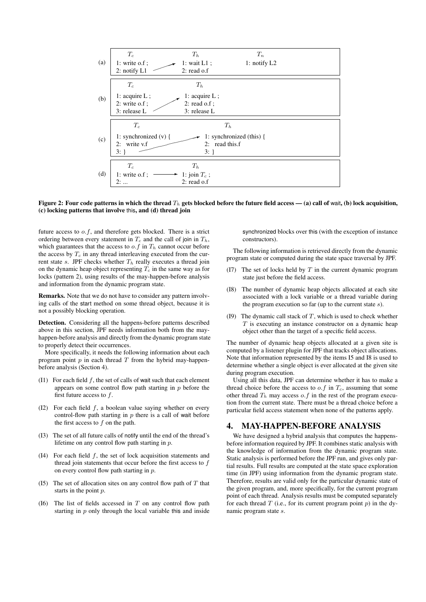

#### Figure 2: Four code patterns in which the thread  $T_h$  gets blocked before the future field access — (a) call of wait, (b) lock acquisition, (c) locking patterns that involve this, and (d) thread join

future access to  $o.f$ , and therefore gets blocked. There is a strict ordering between every statement in  $T_c$  and the call of join in  $T_h$ , which guarantees that the access to  $o.f$  in  $T_h$  cannot occur before the access by  $T_c$  in any thread interleaving executed from the current state s. JPF checks whether  $T<sub>h</sub>$  really executes a thread join on the dynamic heap object representing  $T_c$  in the same way as for locks (pattern 2), using results of the may-happen-before analysis and information from the dynamic program state.

Remarks. Note that we do not have to consider any pattern involving calls of the start method on some thread object, because it is not a possibly blocking operation.

Detection. Considering all the happens-before patterns described above in this section, JPF needs information both from the mayhappen-before analysis and directly from the dynamic program state to properly detect their occurrences.

More specifically, it needs the following information about each program point  $p$  in each thread  $T$  from the hybrid may-happenbefore analysis (Section 4).

- (I1) For each field  $f$ , the set of calls of wait such that each element appears on some control flow path starting in  $p$  before the first future access to  $f$ .
- (I2) For each field  $f$ , a boolean value saying whether on every control-flow path starting in  $p$  there is a call of wait before the first access to f on the path.
- (I3) The set of all future calls of notify until the end of the thread's lifetime on any control flow path starting in p.
- (I4) For each field  $f$ , the set of lock acquisition statements and thread join statements that occur before the first access to  $f$ on every control flow path starting in p.
- (I5) The set of allocation sites on any control flow path of  $T$  that starts in the point p.
- (I6) The list of fields accessed in  $T$  on any control flow path starting in  $p$  only through the local variable this and inside

synchronized blocks over this (with the exception of instance constructors).

The following information is retrieved directly from the dynamic program state or computed during the state space traversal by JPF.

- (I7) The set of locks held by  $T$  in the current dynamic program state just before the field access.
- (I8) The number of dynamic heap objects allocated at each site associated with a lock variable or a thread variable during the program execution so far (up to the current state s).
- (I9) The dynamic call stack of  $T$ , which is used to check whether  $T$  is executing an instance constructor on a dynamic heap object other than the target of a specific field access.

The number of dynamic heap objects allocated at a given site is computed by a listener plugin for JPF that tracks object allocations. Note that information represented by the items I5 and I8 is used to determine whether a single object is ever allocated at the given site during program execution.

Using all this data, JPF can determine whether it has to make a thread choice before the access to  $o.f$  in  $T_c$ , assuming that some other thread  $T_h$  may access o. f in the rest of the program execution from the current state. There must be a thread choice before a particular field access statement when none of the patterns apply.

# 4. MAY-HAPPEN-BEFORE ANALYSIS

We have designed a hybrid analysis that computes the happensbefore information required by JPF. It combines static analysis with the knowledge of information from the dynamic program state. Static analysis is performed before the JPF run, and gives only partial results. Full results are computed at the state space exploration time (in JPF) using information from the dynamic program state. Therefore, results are valid only for the particular dynamic state of the given program, and, more specifically, for the current program point of each thread. Analysis results must be computed separately for each thread  $T$  (i.e., for its current program point  $p$ ) in the dynamic program state s.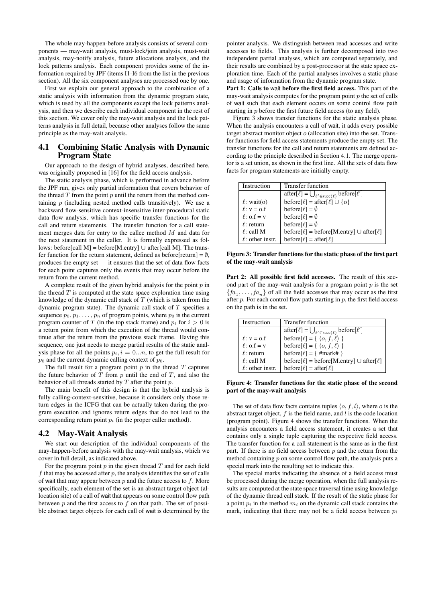The whole may-happen-before analysis consists of several components — may-wait analysis, must-lock/join analysis, must-wait analysis, may-notify analysis, future allocations analysis, and the lock patterns analysis. Each component provides some of the information required by JPF (items I1-I6 from the list in the previous section). All the six component analyses are processed one by one.

First we explain our general approach to the combination of a static analysis with information from the dynamic program state, which is used by all the components except the lock patterns analysis, and then we describe each individual component in the rest of this section. We cover only the may-wait analysis and the lock patterns analysis in full detail, because other analyses follow the same principle as the may-wait analysis.

## 4.1 Combining Static Analysis with Dynamic Program State

Our approach to the design of hybrid analyses, described here, was originally proposed in [16] for the field access analysis.

The static analysis phase, which is performed in advance before the JPF run, gives only partial information that covers behavior of the thread  $T$  from the point  $p$  until the return from the method containing  $p$  (including nested method calls transitively). We use a backward flow-sensitive context-insensitive inter-procedural static data flow analysis, which has specific transfer functions for the call and return statements. The transfer function for a call statement merges data for entry to the callee method M and data for the next statement in the caller. It is formally expressed as follows: before[call M] = before[M.entry]  $\cup$  after[call M]. The transfer function for the return statement, defined as before[return] =  $\emptyset$ . produces the empty set — it ensures that the set of data flow facts for each point captures only the events that may occur before the return from the current method.

A complete result of the given hybrid analysis for the point  $p$  in the thread  $T$  is computed at the state space exploration time using knowledge of the dynamic call stack of  $T$  (which is taken from the dynamic program state). The dynamic call stack of  $T$  specifies a sequence  $p_0, p_1, \ldots, p_n$  of program points, where  $p_0$  is the current program counter of T (in the top stack frame) and  $p_i$  for  $i > 0$  is a return point from which the execution of the thread would continue after the return from the previous stack frame. Having this sequence, one just needs to merge partial results of the static analysis phase for all the points  $p_i$ ,  $i = 0...n$ , to get the full result for  $p_0$  and the current dynamic calling context of  $p_0$ .

The full result for a program point  $p$  in the thread  $T$  captures the future behavior of  $T$  from  $p$  until the end of  $T$ , and also the behavior of all threads started by  $T$  after the point  $p$ .

The main benefit of this design is that the hybrid analysis is fully calling-context-sensitive, because it considers only those return edges in the ICFG that can be actually taken during the program execution and ignores return edges that do not lead to the corresponding return point  $p_i$  (in the proper caller method).

#### 4.2 May-Wait Analysis

We start our description of the individual components of the may-happen-before analysis with the may-wait analysis, which we cover in full detail, as indicated above.

For the program point  $p$  in the given thread  $T$  and for each field  $f$  that may be accessed after  $p$ , the analysis identifies the set of calls of wait that may appear between  $p$  and the future access to  $f$ . More specifically, each element of the set is an abstract target object (allocation site) of a call of wait that appears on some control flow path between  $p$  and the first access to  $f$  on that path. The set of possible abstract target objects for each call of wait is determined by the

pointer analysis. We distinguish between read accesses and write accesses to fields. This analysis is further decomposed into two independent partial analyses, which are computed separately, and their results are combined by a post-processor at the state space exploration time. Each of the partial analyses involves a static phase and usage of information from the dynamic program state.

Part 1: Calls to wait before the first field access. This part of the may-wait analysis computes for the program point  $p$  the set of calls of wait such that each element occurs on some control flow path starting in p before the first future field access (to any field).

Figure 3 shows transfer functions for the static analysis phase. When the analysis encounters a call of wait, it adds every possible target abstract monitor object  $o$  (allocation site) into the set. Transfer functions for field access statements produce the empty set. The transfer functions for the call and return statements are defined according to the principle described in Section 4.1. The merge operator is a set union, as shown in the first line. All the sets of data flow facts for program statements are initially empty.

| Instruction           | Transfer function                                                                 |
|-----------------------|-----------------------------------------------------------------------------------|
|                       | $\text{after}[\ell] = \bigcup_{\ell' \in \text{succ}(\ell)} \text{before}[\ell']$ |
| $\ell$ : wait(o)      | before[ $\ell$ ] = after[ $\ell$ ] $\cup$ {0}                                     |
| $\ell$ : v = o.f      | before[ $\ell$ ] = $\emptyset$                                                    |
| $l: o.f = v$          | before[ $\ell$ ] = $\emptyset$                                                    |
| $\ell$ : return       | before[ $\ell$ ] = $\emptyset$                                                    |
| $\ell$ : call M       | $before[\ell] = before[M-entry] \cup after[\ell]$                                 |
| $\ell$ : other instr. | $\text{before}[\ell] = \text{after}[\ell]$                                        |

#### Figure 3: Transfer functions for the static phase of the first part of the may-wait analysis

Part 2: All possible first field accesses. The result of this second part of the may-wait analysis for a program point  $p$  is the set  ${f_a_1, \ldots, fa_n}$  of all the field accesses that may occur as the first after  $p$ . For each control flow path starting in  $p$ , the first field access on the path is in the set.

| Instruction             | Transfer function                                                                 |
|-------------------------|-----------------------------------------------------------------------------------|
|                         | $\text{after}[\ell] = \bigcup_{\ell' \in \text{succ}(\ell)} \text{before}[\ell']$ |
| $l: v = 0.1$            | before[ $\ell$ ] = { $\langle o, f, \ell \rangle$ }                               |
| $\ell$ : $\alpha$ f = v | before[ $\ell$ ] = { $\langle o, f, \ell \rangle$ }                               |
| $\ell$ : return         | $before[\ell] = \{ \#mark\# \}$                                                   |
| $\ell$ : call M         | $before[\ell] = before[M-entry] \cup after[\ell]$                                 |
| $\ell$ : other instr.   | $\text{before}[\ell] = \text{after}[\ell]$                                        |

Figure 4: Transfer functions for the static phase of the second part of the may-wait analysis

The set of data flow facts contains tuples  $\langle o, f, l \rangle$ , where o is the abstract target object,  $f$  is the field name, and  $l$  is the code location (program point). Figure 4 shows the transfer functions. When the analysis encounters a field access statement, it creates a set that contains only a single tuple capturing the respective field access. The transfer function for a call statement is the same as in the first part. If there is no field access between  $p$  and the return from the method containing  $p$  on some control flow path, the analysis puts a special mark into the resulting set to indicate this.

The special marks indicating the absence of a field access must be processed during the merge operation, when the full analysis results are computed at the state space traversal time using knowledge of the dynamic thread call stack. If the result of the static phase for a point  $p_i$  in the method  $m_i$  on the dynamic call stack contains the mark, indicating that there may not be a field access between  $p_i$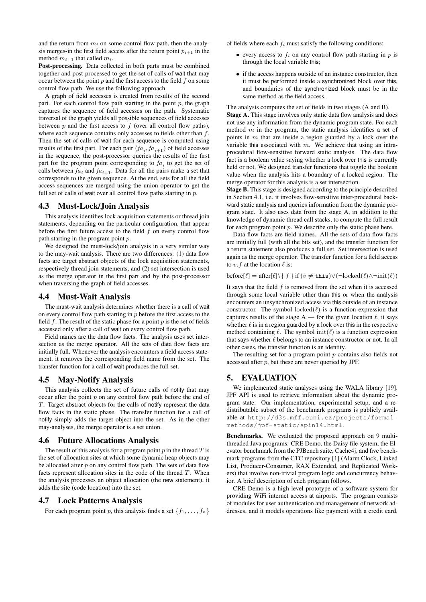and the return from  $m_i$  on some control flow path, then the analysis merges-in the first field access after the return point  $p_{i+1}$  in the method  $m_{i+1}$  that called  $m_i$ .

Post-processing. Data collected in both parts must be combined together and post-processed to get the set of calls of wait that may occur between the point  $p$  and the first access to the field  $f$  on some control flow path. We use the following approach.

A graph of field accesses is created from results of the second part. For each control flow path starting in the point  $p$ , the graph captures the sequence of field accesses on the path. Systematic traversal of the graph yields all possible sequences of field accesses between  $p$  and the first access to  $f$  (over all control flow paths), where each sequence contains only accesses to fields other than  $f$ . Then the set of calls of wait for each sequence is computed using results of the first part. For each pair  $(fa_i, fa_{i+1})$  of field accesses in the sequence, the post-processor queries the results of the first part for the program point corresponding to  $fa<sub>i</sub>$  to get the set of calls between  $fa_i$  and  $fa_{i+1}$ . Data for all the pairs make a set that corresponds to the given sequence. At the end, sets for all the field access sequences are merged using the union operator to get the full set of calls of wait over all control flow paths starting in p.

## 4.3 Must-Lock/Join Analysis

This analysis identifies lock acquisition statements or thread join statements, depending on the particular configuration, that appear before the first future access to the field  $f$  on every control flow path starting in the program point p.

We designed the must-lock/join analysis in a very similar way to the may-wait analysis. There are two differences: (1) data flow facts are target abstract objects of the lock acquisition statements, respectively thread join statements, and (2) set intersection is used as the merge operator in the first part and by the post-processor when traversing the graph of field accesses.

#### 4.4 Must-Wait Analysis

The must-wait analysis determines whether there is a call of wait on every control flow path starting in p before the first access to the field  $f$ . The result of the static phase for a point  $p$  is the set of fields accessed only after a call of wait on every control flow path.

Field names are the data flow facts. The analysis uses set intersection as the merge operator. All the sets of data flow facts are initially full. Whenever the analysis encounters a field access statement, it removes the corresponding field name from the set. The transfer function for a call of wait produces the full set.

#### 4.5 May-Notify Analysis

This analysis collects the set of future calls of notify that may occur after the point  $p$  on any control flow path before the end of T. Target abstract objects for the calls of notify represent the data flow facts in the static phase. The transfer function for a call of notify simply adds the target object into the set. As in the other may-analyses, the merge operator is a set union.

## 4.6 Future Allocations Analysis

The result of this analysis for a program point  $p$  in the thread  $T$  is the set of allocation sites at which some dynamic heap objects may be allocated after  $p$  on any control flow path. The sets of data flow facts represent allocation sites in the code of the thread  $T$ . When the analysis processes an object allocation (the new statement), it adds the site (code location) into the set.

#### 4.7 Lock Patterns Analysis

For each program point p, this analysis finds a set  $\{f_1, \ldots, f_n\}$ 

of fields where each  $f_i$  must satisfy the following conditions:

- every access to  $f_i$  on any control flow path starting in p is through the local variable this;
- if the access happens outside of an instance constructor, then it must be performed inside a synchronized block over this, and boundaries of the synchronized block must be in the same method as the field access.

The analysis computes the set of fields in two stages (A and B).

Stage A. This stage involves only static data flow analysis and does not use any information from the dynamic program state. For each method  $m$  in the program, the static analysis identifies a set of points in  $m$  that are inside a region guarded by a lock over the variable this associated with  $m$ . We achieve that using an intraprocedural flow-sensitive forward static analysis. The data flow fact is a boolean value saying whether a lock over this is currently held or not. We designed transfer functions that toggle the boolean value when the analysis hits a boundary of a locked region. The merge operator for this analysis is a set intersection.

Stage B. This stage is designed according to the principle described in Section 4.1, i.e. it involves flow-sensitive inter-procedural backward static analysis and queries information from the dynamic program state. It also uses data from the stage A, in addition to the knowledge of dynamic thread call stacks, to compute the full result for each program point  $p$ . We describe only the static phase here.

Data flow facts are field names. All the sets of data flow facts are initially full (with all the bits set), and the transfer function for a return statement also produces a full set. Set intersection is used again as the merge operator. The transfer function for a field access to v. f at the location  $\ell$  is:

before[ $\ell$ ] = after[ $\ell$ ] $\setminus \{ f \}$  if ( $v \neq \text{this}$ ) $\vee$ ( $\neg$ locked $(\ell) \wedge \neg \text{init}(\ell)$ )

It says that the field  $f$  is removed from the set when it is accessed through some local variable other than this or when the analysis encounters an unsynchronized access via this outside of an instance constructor. The symbol locked $(\ell)$  is a function expression that captures results of the stage A — for the given location  $\ell$ , it says whether  $\ell$  is in a region guarded by a lock over this in the respective method containing  $\ell$ . The symbol init( $\ell$ ) is a function expression that says whether  $\ell$  belongs to an instance constructor or not. In all other cases, the transfer function is an identity.

The resulting set for a program point  $p$  contains also fields not accessed after p, but these are never queried by JPF.

#### 5. EVALUATION

We implemented static analyses using the WALA library [19]. JPF API is used to retrieve information about the dynamic program state. Our implementation, experimental setup, and a redistributable subset of the benchmark programs is publicly available at http://d3s.mff.cuni.cz/projects/formal\_ methods/jpf-static/spin14.html.

Benchmarks. We evaluated the proposed approach on 9 multithreaded Java programs: CRE Demo, the Daisy file system, the Elevator benchmark from the PJBench suite, Cache4j, and five benchmark programs from the CTC repository [1] (Alarm Clock, Linked List, Producer-Consumer, RAX Extended, and Replicated Workers) that involve non-trivial program logic and concurrency behavior. A brief description of each program follows.

CRE Demo is a high-level prototype of a software system for providing WiFi internet access at airports. The program consists of modules for user authentication and management of network addresses, and it models operations like payment with a credit card.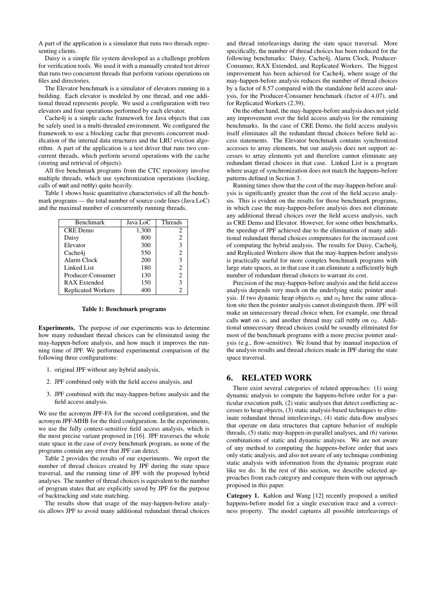A part of the application is a simulator that runs two threads representing clients.

Daisy is a simple file system developed as a challenge problem for verification tools. We used it with a manually created test driver that runs two concurrent threads that perform various operations on files and directories.

The Elevator benchmark is a simulator of elevators running in a building. Each elevator is modeled by one thread, and one additional thread represents people. We used a configuration with two elevators and four operations performed by each elevator.

Cache4j is a simple cache framework for Java objects that can be safely used in a multi-threaded environment. We configured the framework to use a blocking cache that prevents concurrent modification of the internal data structures and the LRU eviction algorithm. A part of the application is a test driver that runs two concurrent threads, which perform several operations with the cache (storing and retrieval of objects).

All five benchmark programs from the CTC repository involve multiple threads, which use synchronization operations (locking, calls of wait and notify) quite heavily.

Table 1 shows basic quantitative characteristics of all the benchmark programs — the total number of source code lines (Java LoC) and the maximal number of concurrently running threads.

| <b>Benchmark</b>          | Java LoC | Threads        |  |
|---------------------------|----------|----------------|--|
| <b>CRE</b> Demo           | 1,300    | 2              |  |
| Daisy                     | 800      | 2              |  |
| Elevator                  | 300      | 3              |  |
| Cache4i                   | 550      | 2              |  |
| Alarm Clock               | 200      | 3              |  |
| Linked List               | 180      | 2              |  |
| Producer-Consumer         | 130      | 2              |  |
| <b>RAX</b> Extended       | 150      | 3              |  |
| <b>Replicated Workers</b> | 400      | $\mathfrak{D}$ |  |

#### Table 1: Benchmark programs

Experiments. The purpose of our experiments was to determine how many redundant thread choices can be eliminated using the may-happen-before analysis, and how much it improves the running time of JPF. We performed experimental comparison of the following three configurations:

- 1. original JPF without any hybrid analysis,
- 2. JPF combined only with the field access analysis, and
- 3. JPF combined with the may-happen-before analysis and the field access analysis.

We use the acronym JPF-FA for the second configuration, and the acronym JPF-MHB for the third configuration. In the experiments, we use the fully context-sensitive field access analysis, which is the most precise variant proposed in [16]. JPF traverses the whole state space in the case of every benchmark program, as none of the programs contain any error that JPF can detect.

Table 2 provides the results of our experiments. We report the number of thread choices created by JPF during the state space traversal, and the running time of JPF with the proposed hybrid analyses. The number of thread choices is equivalent to the number of program states that are explicitly saved by JPF for the purpose of backtracking and state matching.

The results show that usage of the may-happen-before analysis allows JPF to avoid many additional redundant thread choices

and thread interleavings during the state space traversal. More specifically, the number of thread choices has been reduced for the following benchmarks: Daisy, Cache4j, Alarm Clock, Producer-Consumer, RAX Extended, and Replicated Workers. The biggest improvement has been achieved for Cache4j, where usage of the may-happen-before analysis reduces the number of thread choices by a factor of 8.57 compared with the standalone field access analysis, for the Producer-Consumer benchmark (factor of 4.07), and for Replicated Workers (2.39).

On the other hand, the may-happen-before analysis does not yield any improvement over the field access analysis for the remaining benchmarks. In the case of CRE Demo, the field access analysis itself eliminates all the redundant thread choices before field access statements. The Elevator benchmark contains synchronized accesses to array elements, but our analysis does not support accesses to array elements yet and therefore cannot eliminate any redundant thread choices in that case. Linked List is a program where usage of synchronization does not match the happens-before patterns defined in Section 3.

Running times show that the cost of the may-happen-before analysis is significantly greater than the cost of the field access analysis. This is evident on the results for those benchmark programs, in which case the may-happen-before analysis does not eliminate any additional thread choices over the field access analysis, such as CRE Demo and Elevator. However, for some other benchmarks, the speedup of JPF achieved due to the elimination of many additional redundant thread choices compensates for the increased cost of computing the hybrid analysis. The results for Daisy, Cache4j, and Replicated Workers show that the may-happen-before analysis is practically useful for more complex benchmark programs with large state spaces, as in that case it can eliminate a sufficiently high number of redundant thread choices to warrant its cost.

Precision of the may-happen-before analysis and the field access analysis depends very much on the underlying static pointer analysis. If two dynamic heap objects  $o_1$  and  $o_2$  have the same allocation site then the pointer analysis cannot distinguish them. JPF will make an unnecessary thread choice when, for example, one thread calls wait on  $o_1$  and another thread may call notify on  $o_2$ . Additional unnecessary thread choices could be soundly eliminated for most of the benchmark programs with a more precise pointer analysis (e.g., flow-sensitive). We found that by manual inspection of the analysis results and thread choices made in JPF during the state space traversal.

#### 6. RELATED WORK

There exist several categories of related approaches: (1) using dynamic analysis to compute the happens-before order for a particular execution path, (2) static analyses that detect conflicting accesses to heap objects, (3) static analysis-based techniques to eliminate redundant thread interleavings, (4) static data-flow analyses that operate on data structures that capture behavior of multiple threads, (5) static may-happen-in-parallel analyses, and (6) various combinations of static and dynamic analyses. We are not aware of any method to computing the happens-before order that uses only static analysis, and also not aware of any technique combining static analysis with information from the dynamic program state like we do. In the rest of this section, we describe selected approaches from each category and compare them with our approach proposed in this paper.

Category 1. Kahlon and Wang [12] recently proposed a unified happens-before model for a single execution trace and a correctness property. The model captures all possible interleavings of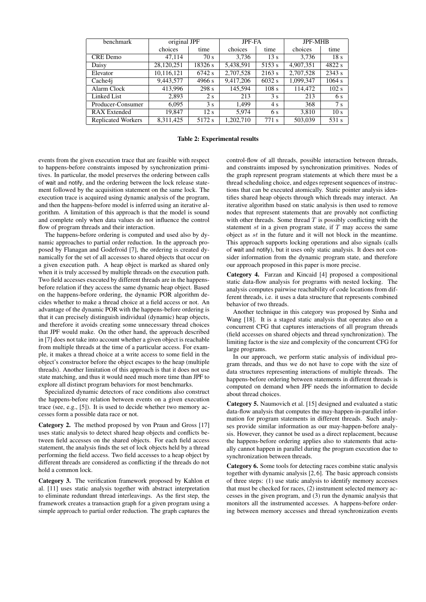| <b>benchmark</b>          | original JPF |         | <b>JPF-FA</b> |                 | <b>JPF-MHB</b> |                 |
|---------------------------|--------------|---------|---------------|-----------------|----------------|-----------------|
|                           | choices      | time    | choices       | time            | choices        | time            |
| <b>CRE</b> Demo           | 47.114       | 70 s    | 3,736         | 13 <sub>s</sub> | 3,736          | 18 <sub>s</sub> |
| Daisy                     | 28,120,251   | 18326 s | 5,438,591     | 5153 s          | 4,907,351      | 4822 s          |
| Elevator                  | 10,116,121   | 6742 s  | 2,707,528     | $2163$ s        | 2,707,528      | 2343 s          |
| Cache4i                   | 9,443,577    | 4966 s  | 9,417,206     | 6032 s          | 1,099,347      | $1064$ s        |
| Alarm Clock               | 413,996      | 298 s   | 145,594       | 108s            | 114,472        | 102 s           |
| <b>Linked List</b>        | 2.893        | 2s      | 213           | 3 s             | 213            | 6 s             |
| Producer-Consumer         | 6,095        | 3s      | 1,499         | 4 s             | 368            | 7 <sub>s</sub>  |
| <b>RAX</b> Extended       | 19,847       | 12 s    | 5.974         | 6 s             | 3,810          | 10 <sub>s</sub> |
| <b>Replicated Workers</b> | 8,311,425    | 5172 s  | 1,202,710     | 771 s           | 503,039        | 531 s           |

#### Table 2: Experimental results

events from the given execution trace that are feasible with respect to happens-before constraints imposed by synchronization primitives. In particular, the model preserves the ordering between calls of wait and notify, and the ordering between the lock release statement followed by the acquisition statement on the same lock. The execution trace is acquired using dynamic analysis of the program, and then the happens-before model is inferred using an iterative algorithm. A limitation of this approach is that the model is sound and complete only when data values do not influence the control flow of program threads and their interaction.

The happens-before ordering is computed and used also by dynamic approaches to partial order reduction. In the approach proposed by Flanagan and Godefroid [7], the ordering is created dynamically for the set of all accesses to shared objects that occur on a given execution path. A heap object is marked as shared only when it is truly accessed by multiple threads on the execution path. Two field accesses executed by different threads are in the happensbefore relation if they access the same dynamic heap object. Based on the happens-before ordering, the dynamic POR algorithm decides whether to make a thread choice at a field access or not. An advantage of the dynamic POR with the happens-before ordering is that it can precisely distinguish individual (dynamic) heap objects, and therefore it avoids creating some unnecessary thread choices that JPF would make. On the other hand, the approach described in [7] does not take into account whether a given object is reachable from multiple threads at the time of a particular access. For example, it makes a thread choice at a write access to some field in the object's constructor before the object escapes to the heap (multiple threads). Another limitation of this approach is that it does not use state matching, and thus it would need much more time than JPF to explore all distinct program behaviors for most benchmarks.

Specialized dynamic detectors of race conditions also construct the happens-before relation between events on a given execution trace (see, e.g., [5]). It is used to decide whether two memory accesses form a possible data race or not.

Category 2. The method proposed by von Praun and Gross [17] uses static analysis to detect shared heap objects and conflicts between field accesses on the shared objects. For each field access statement, the analysis finds the set of lock objects held by a thread performing the field access. Two field accesses to a heap object by different threads are considered as conflicting if the threads do not hold a common lock.

Category 3. The verification framework proposed by Kahlon et al. [11] uses static analysis together with abstract interpretation to eliminate redundant thread interleavings. As the first step, the framework creates a transaction graph for a given program using a simple approach to partial order reduction. The graph captures the control-flow of all threads, possible interaction between threads, and constraints imposed by synchronization primitives. Nodes of the graph represent program statements at which there must be a thread scheduling choice, and edges represent sequences of instructions that can be executed atomically. Static pointer analysis identifies shared heap objects through which threads may interact. An iterative algorithm based on static analysis is then used to remove nodes that represent statements that are provably not conflicting with other threads. Some thread  $T$  is possibly conflicting with the statement  $st$  in a given program state, if  $T$  may access the same object as st in the future and it will not block in the meantime. This approach supports locking operations and also signals (calls of wait and notify), but it uses only static analysis. It does not consider information from the dynamic program state, and therefore our approach proposed in this paper is more precise.

Category 4. Farzan and Kincaid [4] proposed a compositional static data-flow analysis for programs with nested locking. The analysis computes pairwise reachability of code locations from different threads, i.e. it uses a data structure that represents combined behavior of two threads.

Another technique in this category was proposed by Sinha and Wang [18]. It is a staged static analysis that operates also on a concurrent CFG that captures interactions of all program threads (field accesses on shared objects and thread synchronization). The limiting factor is the size and complexity of the concurrent CFG for large programs.

In our approach, we perform static analysis of individual program threads, and thus we do not have to cope with the size of data structures representing interactions of multiple threads. The happens-before ordering between statements in different threads is computed on demand when JPF needs the information to decide about thread choices.

Category 5. Naumovich et al. [15] designed and evaluated a static data-flow analysis that computes the may-happen-in-parallel information for program statements in different threads. Such analyses provide similar information as our may-happen-before analysis. However, they cannot be used as a direct replacement, because the happens-before ordering applies also to statements that actually cannot happen in parallel during the program execution due to synchronization between threads.

Category 6. Some tools for detecting races combine static analysis together with dynamic analysis [2, 6]. The basic approach consists of three steps: (1) use static analysis to identify memory accesses that must be checked for races, (2) instrument selected memory accesses in the given program, and (3) run the dynamic analysis that monitors all the instrumented accesses. A happens-before ordering between memory accesses and thread synchronization events